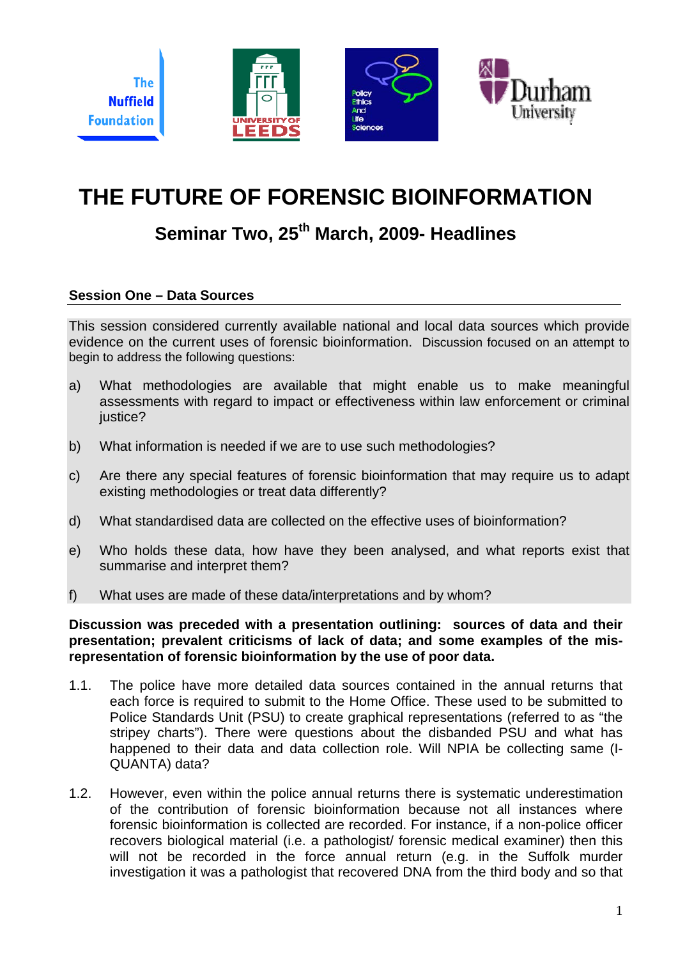

# **THE FUTURE OF FORENSIC BIOINFORMATION**

## **Seminar Two, 25th March, 2009- Headlines**

#### **Session One – Data Sources**

This session considered currently available national and local data sources which provide evidence on the current uses of forensic bioinformation. Discussion focused on an attempt to begin to address the following questions:

- a) What methodologies are available that might enable us to make meaningful assessments with regard to impact or effectiveness within law enforcement or criminal justice?
- b) What information is needed if we are to use such methodologies?
- c) Are there any special features of forensic bioinformation that may require us to adapt existing methodologies or treat data differently?
- d) What standardised data are collected on the effective uses of bioinformation?
- e) Who holds these data, how have they been analysed, and what reports exist that summarise and interpret them?
- f) What uses are made of these data/interpretations and by whom?

#### **Discussion was preceded with a presentation outlining: sources of data and their presentation; prevalent criticisms of lack of data; and some examples of the misrepresentation of forensic bioinformation by the use of poor data.**

- 1.1. The police have more detailed data sources contained in the annual returns that each force is required to submit to the Home Office. These used to be submitted to Police Standards Unit (PSU) to create graphical representations (referred to as "the stripey charts"). There were questions about the disbanded PSU and what has happened to their data and data collection role. Will NPIA be collecting same (I-QUANTA) data?
- 1.2. However, even within the police annual returns there is systematic underestimation of the contribution of forensic bioinformation because not all instances where forensic bioinformation is collected are recorded. For instance, if a non-police officer recovers biological material (i.e. a pathologist/ forensic medical examiner) then this will not be recorded in the force annual return (e.g. in the Suffolk murder investigation it was a pathologist that recovered DNA from the third body and so that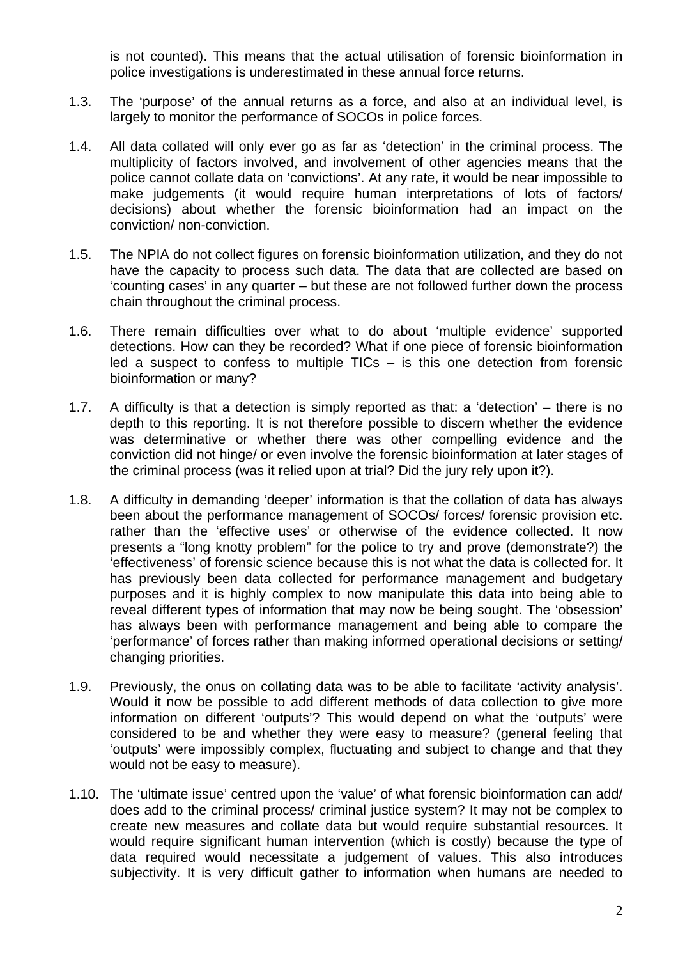is not counted). This means that the actual utilisation of forensic bioinformation in police investigations is underestimated in these annual force returns.

- 1.3. The 'purpose' of the annual returns as a force, and also at an individual level, is largely to monitor the performance of SOCOs in police forces.
- 1.4. All data collated will only ever go as far as 'detection' in the criminal process. The multiplicity of factors involved, and involvement of other agencies means that the police cannot collate data on 'convictions'. At any rate, it would be near impossible to make judgements (it would require human interpretations of lots of factors/ decisions) about whether the forensic bioinformation had an impact on the conviction/ non-conviction.
- 1.5. The NPIA do not collect figures on forensic bioinformation utilization, and they do not have the capacity to process such data. The data that are collected are based on 'counting cases' in any quarter – but these are not followed further down the process chain throughout the criminal process.
- 1.6. There remain difficulties over what to do about 'multiple evidence' supported detections. How can they be recorded? What if one piece of forensic bioinformation led a suspect to confess to multiple  $TICs - is$  this one detection from forensic bioinformation or many?
- 1.7. A difficulty is that a detection is simply reported as that: a 'detection' there is no depth to this reporting. It is not therefore possible to discern whether the evidence was determinative or whether there was other compelling evidence and the conviction did not hinge/ or even involve the forensic bioinformation at later stages of the criminal process (was it relied upon at trial? Did the jury rely upon it?).
- 1.8. A difficulty in demanding 'deeper' information is that the collation of data has always been about the performance management of SOCOs/ forces/ forensic provision etc. rather than the 'effective uses' or otherwise of the evidence collected. It now presents a "long knotty problem" for the police to try and prove (demonstrate?) the 'effectiveness' of forensic science because this is not what the data is collected for. It has previously been data collected for performance management and budgetary purposes and it is highly complex to now manipulate this data into being able to reveal different types of information that may now be being sought. The 'obsession' has always been with performance management and being able to compare the 'performance' of forces rather than making informed operational decisions or setting/ changing priorities.
- 1.9. Previously, the onus on collating data was to be able to facilitate 'activity analysis'. Would it now be possible to add different methods of data collection to give more information on different 'outputs'? This would depend on what the 'outputs' were considered to be and whether they were easy to measure? (general feeling that 'outputs' were impossibly complex, fluctuating and subject to change and that they would not be easy to measure).
- 1.10. The 'ultimate issue' centred upon the 'value' of what forensic bioinformation can add/ does add to the criminal process/ criminal justice system? It may not be complex to create new measures and collate data but would require substantial resources. It would require significant human intervention (which is costly) because the type of data required would necessitate a judgement of values. This also introduces subjectivity. It is very difficult gather to information when humans are needed to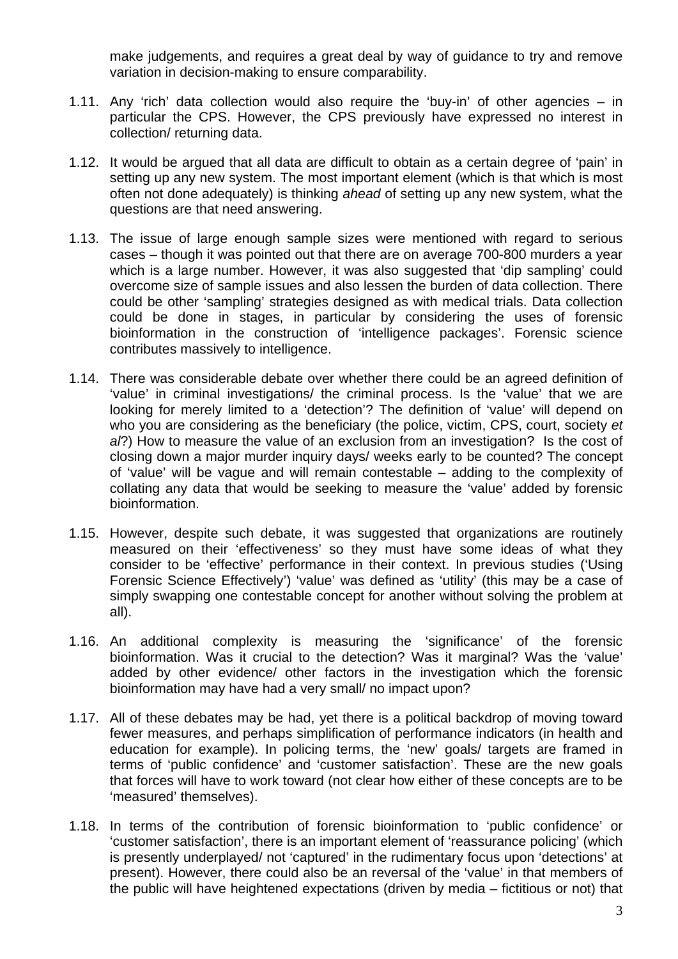make judgements, and requires a great deal by way of guidance to try and remove variation in decision-making to ensure comparability.

- 1.11. Any 'rich' data collection would also require the 'buy-in' of other agencies in particular the CPS. However, the CPS previously have expressed no interest in collection/ returning data.
- 1.12. It would be argued that all data are difficult to obtain as a certain degree of 'pain' in setting up any new system. The most important element (which is that which is most often not done adequately) is thinking *ahead* of setting up any new system, what the questions are that need answering.
- 1.13. The issue of large enough sample sizes were mentioned with regard to serious cases – though it was pointed out that there are on average 700-800 murders a year which is a large number. However, it was also suggested that 'dip sampling' could overcome size of sample issues and also lessen the burden of data collection. There could be other 'sampling' strategies designed as with medical trials. Data collection could be done in stages, in particular by considering the uses of forensic bioinformation in the construction of 'intelligence packages'. Forensic science contributes massively to intelligence.
- 1.14. There was considerable debate over whether there could be an agreed definition of 'value' in criminal investigations/ the criminal process. Is the 'value' that we are looking for merely limited to a 'detection'? The definition of 'value' will depend on who you are considering as the beneficiary (the police, victim, CPS, court, society *et al*?) How to measure the value of an exclusion from an investigation? Is the cost of closing down a major murder inquiry days/ weeks early to be counted? The concept of 'value' will be vague and will remain contestable – adding to the complexity of collating any data that would be seeking to measure the 'value' added by forensic bioinformation.
- 1.15. However, despite such debate, it was suggested that organizations are routinely measured on their 'effectiveness' so they must have some ideas of what they consider to be 'effective' performance in their context. In previous studies ('Using Forensic Science Effectively') 'value' was defined as 'utility' (this may be a case of simply swapping one contestable concept for another without solving the problem at all).
- 1.16. An additional complexity is measuring the 'significance' of the forensic bioinformation. Was it crucial to the detection? Was it marginal? Was the 'value' added by other evidence/ other factors in the investigation which the forensic bioinformation may have had a very small/ no impact upon?
- 1.17. All of these debates may be had, yet there is a political backdrop of moving toward fewer measures, and perhaps simplification of performance indicators (in health and education for example). In policing terms, the 'new' goals/ targets are framed in terms of 'public confidence' and 'customer satisfaction'. These are the new goals that forces will have to work toward (not clear how either of these concepts are to be 'measured' themselves).
- 1.18. In terms of the contribution of forensic bioinformation to 'public confidence' or 'customer satisfaction', there is an important element of 'reassurance policing' (which is presently underplayed/ not 'captured' in the rudimentary focus upon 'detections' at present). However, there could also be an reversal of the 'value' in that members of the public will have heightened expectations (driven by media – fictitious or not) that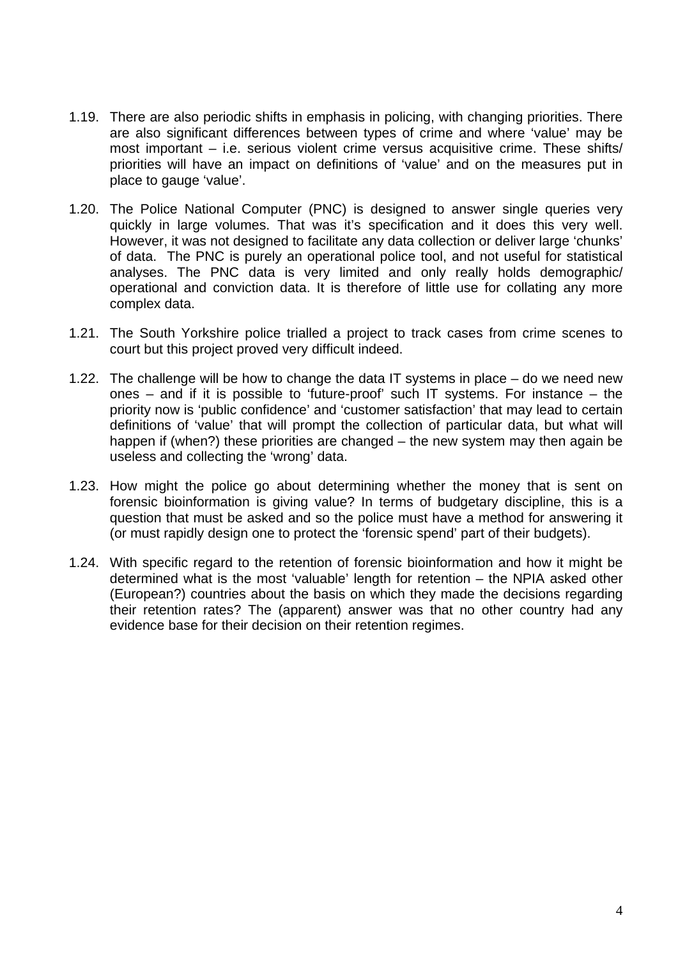- 1.19. There are also periodic shifts in emphasis in policing, with changing priorities. There are also significant differences between types of crime and where 'value' may be most important – i.e. serious violent crime versus acquisitive crime. These shifts/ priorities will have an impact on definitions of 'value' and on the measures put in place to gauge 'value'.
- 1.20. The Police National Computer (PNC) is designed to answer single queries very quickly in large volumes. That was it's specification and it does this very well. However, it was not designed to facilitate any data collection or deliver large 'chunks' of data. The PNC is purely an operational police tool, and not useful for statistical analyses. The PNC data is very limited and only really holds demographic/ operational and conviction data. It is therefore of little use for collating any more complex data.
- 1.21. The South Yorkshire police trialled a project to track cases from crime scenes to court but this project proved very difficult indeed.
- 1.22. The challenge will be how to change the data IT systems in place do we need new ones – and if it is possible to 'future-proof' such IT systems. For instance – the priority now is 'public confidence' and 'customer satisfaction' that may lead to certain definitions of 'value' that will prompt the collection of particular data, but what will happen if (when?) these priorities are changed – the new system may then again be useless and collecting the 'wrong' data.
- 1.23. How might the police go about determining whether the money that is sent on forensic bioinformation is giving value? In terms of budgetary discipline, this is a question that must be asked and so the police must have a method for answering it (or must rapidly design one to protect the 'forensic spend' part of their budgets).
- 1.24. With specific regard to the retention of forensic bioinformation and how it might be determined what is the most 'valuable' length for retention – the NPIA asked other (European?) countries about the basis on which they made the decisions regarding their retention rates? The (apparent) answer was that no other country had any evidence base for their decision on their retention regimes.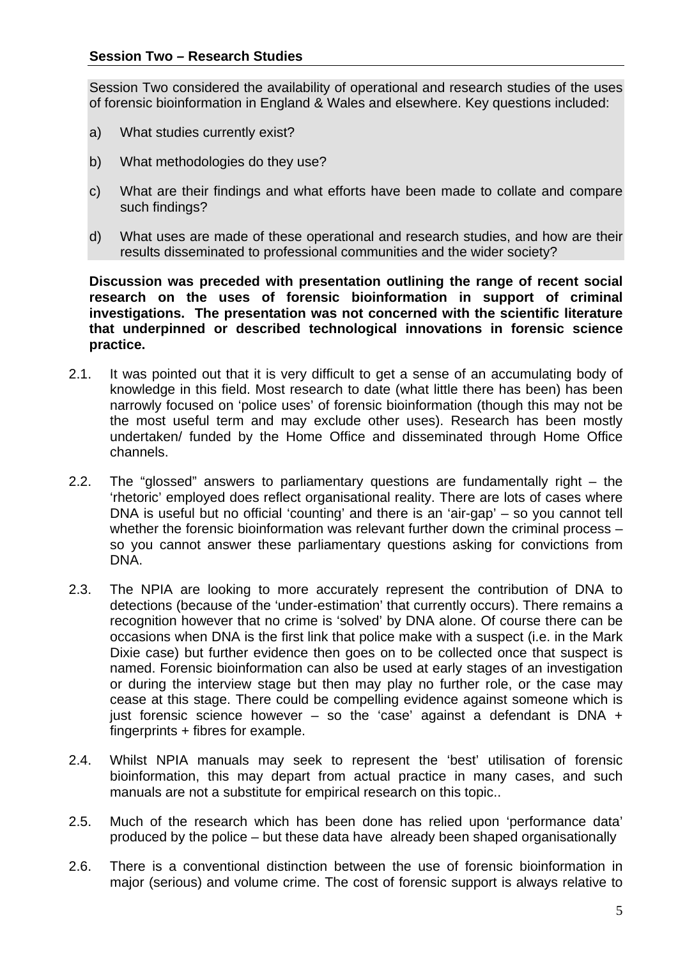Session Two considered the availability of operational and research studies of the uses of forensic bioinformation in England & Wales and elsewhere. Key questions included:

- a) What studies currently exist?
- b) What methodologies do they use?
- c) What are their findings and what efforts have been made to collate and compare such findings?
- d) What uses are made of these operational and research studies, and how are their results disseminated to professional communities and the wider society?

**Discussion was preceded with presentation outlining the range of recent social research on the uses of forensic bioinformation in support of criminal investigations. The presentation was not concerned with the scientific literature that underpinned or described technological innovations in forensic science practice.** 

- 2.1. It was pointed out that it is very difficult to get a sense of an accumulating body of knowledge in this field. Most research to date (what little there has been) has been narrowly focused on 'police uses' of forensic bioinformation (though this may not be the most useful term and may exclude other uses). Research has been mostly undertaken/ funded by the Home Office and disseminated through Home Office channels.
- 2.2. The "glossed" answers to parliamentary questions are fundamentally right the 'rhetoric' employed does reflect organisational reality. There are lots of cases where DNA is useful but no official 'counting' and there is an 'air-gap' – so you cannot tell whether the forensic bioinformation was relevant further down the criminal process so you cannot answer these parliamentary questions asking for convictions from DNA.
- 2.3. The NPIA are looking to more accurately represent the contribution of DNA to detections (because of the 'under-estimation' that currently occurs). There remains a recognition however that no crime is 'solved' by DNA alone. Of course there can be occasions when DNA is the first link that police make with a suspect (i.e. in the Mark Dixie case) but further evidence then goes on to be collected once that suspect is named. Forensic bioinformation can also be used at early stages of an investigation or during the interview stage but then may play no further role, or the case may cease at this stage. There could be compelling evidence against someone which is just forensic science however – so the 'case' against a defendant is DNA  $+$ fingerprints + fibres for example.
- 2.4. Whilst NPIA manuals may seek to represent the 'best' utilisation of forensic bioinformation, this may depart from actual practice in many cases, and such manuals are not a substitute for empirical research on this topic..
- 2.5. Much of the research which has been done has relied upon 'performance data' produced by the police – but these data have already been shaped organisationally
- 2.6. There is a conventional distinction between the use of forensic bioinformation in major (serious) and volume crime. The cost of forensic support is always relative to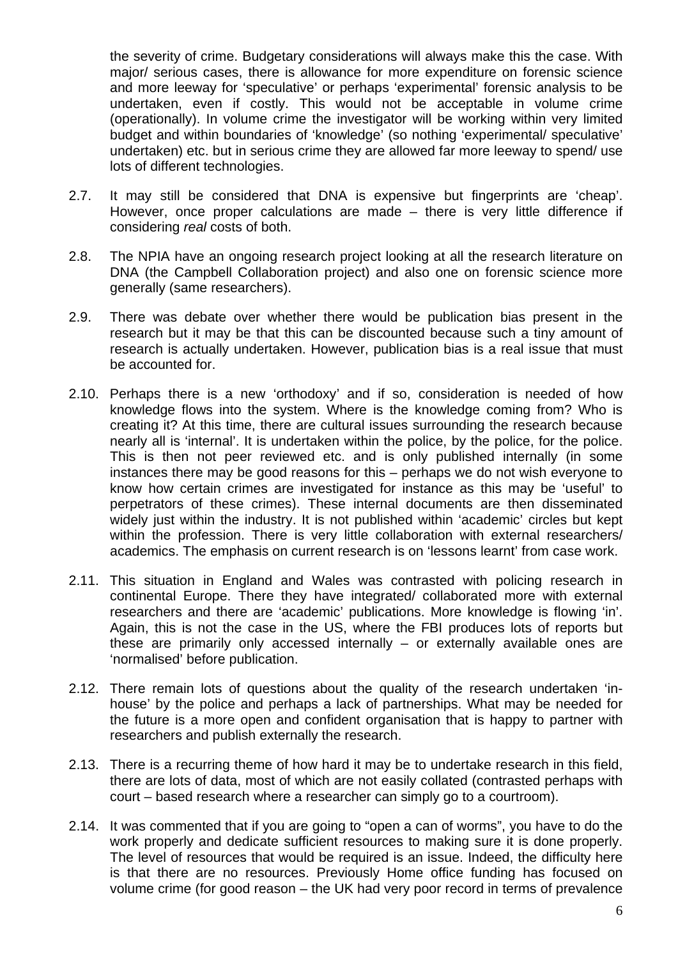the severity of crime. Budgetary considerations will always make this the case. With major/ serious cases, there is allowance for more expenditure on forensic science and more leeway for 'speculative' or perhaps 'experimental' forensic analysis to be undertaken, even if costly. This would not be acceptable in volume crime (operationally). In volume crime the investigator will be working within very limited budget and within boundaries of 'knowledge' (so nothing 'experimental/ speculative' undertaken) etc. but in serious crime they are allowed far more leeway to spend/ use lots of different technologies.

- 2.7. It may still be considered that DNA is expensive but fingerprints are 'cheap'. However, once proper calculations are made – there is very little difference if considering *real* costs of both.
- 2.8. The NPIA have an ongoing research project looking at all the research literature on DNA (the Campbell Collaboration project) and also one on forensic science more generally (same researchers).
- 2.9. There was debate over whether there would be publication bias present in the research but it may be that this can be discounted because such a tiny amount of research is actually undertaken. However, publication bias is a real issue that must be accounted for.
- 2.10. Perhaps there is a new 'orthodoxy' and if so, consideration is needed of how knowledge flows into the system. Where is the knowledge coming from? Who is creating it? At this time, there are cultural issues surrounding the research because nearly all is 'internal'. It is undertaken within the police, by the police, for the police. This is then not peer reviewed etc. and is only published internally (in some instances there may be good reasons for this – perhaps we do not wish everyone to know how certain crimes are investigated for instance as this may be 'useful' to perpetrators of these crimes). These internal documents are then disseminated widely just within the industry. It is not published within 'academic' circles but kept within the profession. There is very little collaboration with external researchers/ academics. The emphasis on current research is on 'lessons learnt' from case work.
- 2.11. This situation in England and Wales was contrasted with policing research in continental Europe. There they have integrated/ collaborated more with external researchers and there are 'academic' publications. More knowledge is flowing 'in'. Again, this is not the case in the US, where the FBI produces lots of reports but these are primarily only accessed internally – or externally available ones are 'normalised' before publication.
- 2.12. There remain lots of questions about the quality of the research undertaken 'inhouse' by the police and perhaps a lack of partnerships. What may be needed for the future is a more open and confident organisation that is happy to partner with researchers and publish externally the research.
- 2.13. There is a recurring theme of how hard it may be to undertake research in this field, there are lots of data, most of which are not easily collated (contrasted perhaps with court – based research where a researcher can simply go to a courtroom).
- 2.14. It was commented that if you are going to "open a can of worms", you have to do the work properly and dedicate sufficient resources to making sure it is done properly. The level of resources that would be required is an issue. Indeed, the difficulty here is that there are no resources. Previously Home office funding has focused on volume crime (for good reason – the UK had very poor record in terms of prevalence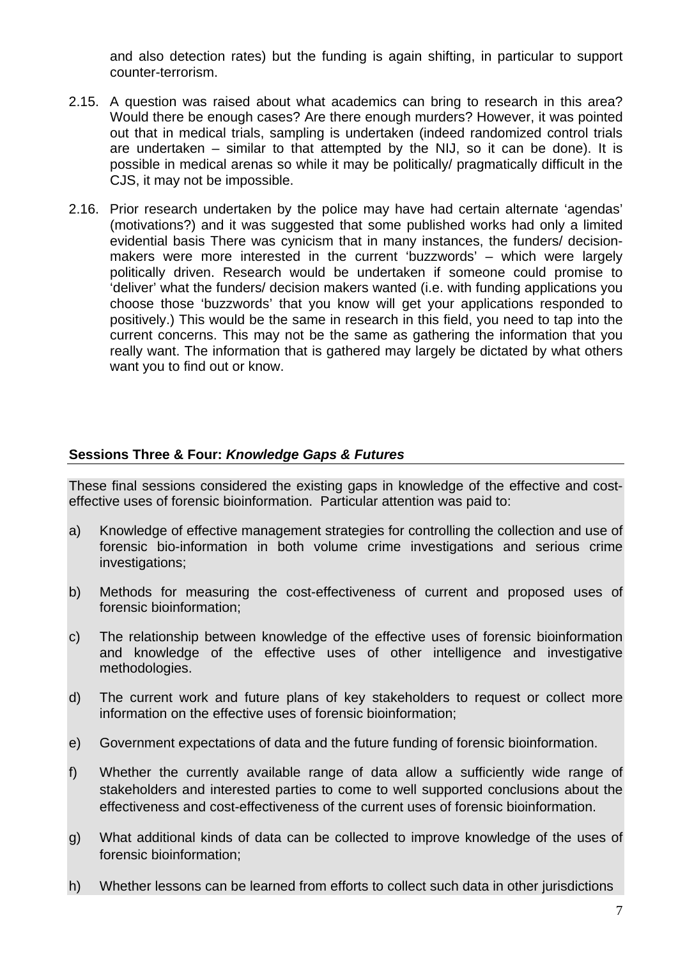and also detection rates) but the funding is again shifting, in particular to support counter-terrorism.

- 2.15. A question was raised about what academics can bring to research in this area? Would there be enough cases? Are there enough murders? However, it was pointed out that in medical trials, sampling is undertaken (indeed randomized control trials are undertaken – similar to that attempted by the NIJ, so it can be done). It is possible in medical arenas so while it may be politically/ pragmatically difficult in the CJS, it may not be impossible.
- 2.16. Prior research undertaken by the police may have had certain alternate 'agendas' (motivations?) and it was suggested that some published works had only a limited evidential basis There was cynicism that in many instances, the funders/ decisionmakers were more interested in the current 'buzzwords' – which were largely politically driven. Research would be undertaken if someone could promise to 'deliver' what the funders/ decision makers wanted (i.e. with funding applications you choose those 'buzzwords' that you know will get your applications responded to positively.) This would be the same in research in this field, you need to tap into the current concerns. This may not be the same as gathering the information that you really want. The information that is gathered may largely be dictated by what others want you to find out or know.

### **Sessions Three & Four:** *Knowledge Gaps & Futures*

These final sessions considered the existing gaps in knowledge of the effective and costeffective uses of forensic bioinformation. Particular attention was paid to:

- a) Knowledge of effective management strategies for controlling the collection and use of forensic bio-information in both volume crime investigations and serious crime investigations;
- b) Methods for measuring the cost-effectiveness of current and proposed uses of forensic bioinformation;
- c) The relationship between knowledge of the effective uses of forensic bioinformation and knowledge of the effective uses of other intelligence and investigative methodologies.
- d) The current work and future plans of key stakeholders to request or collect more information on the effective uses of forensic bioinformation;
- e) Government expectations of data and the future funding of forensic bioinformation.
- f) Whether the currently available range of data allow a sufficiently wide range of stakeholders and interested parties to come to well supported conclusions about the effectiveness and cost-effectiveness of the current uses of forensic bioinformation.
- g) What additional kinds of data can be collected to improve knowledge of the uses of forensic bioinformation;
- h) Whether lessons can be learned from efforts to collect such data in other jurisdictions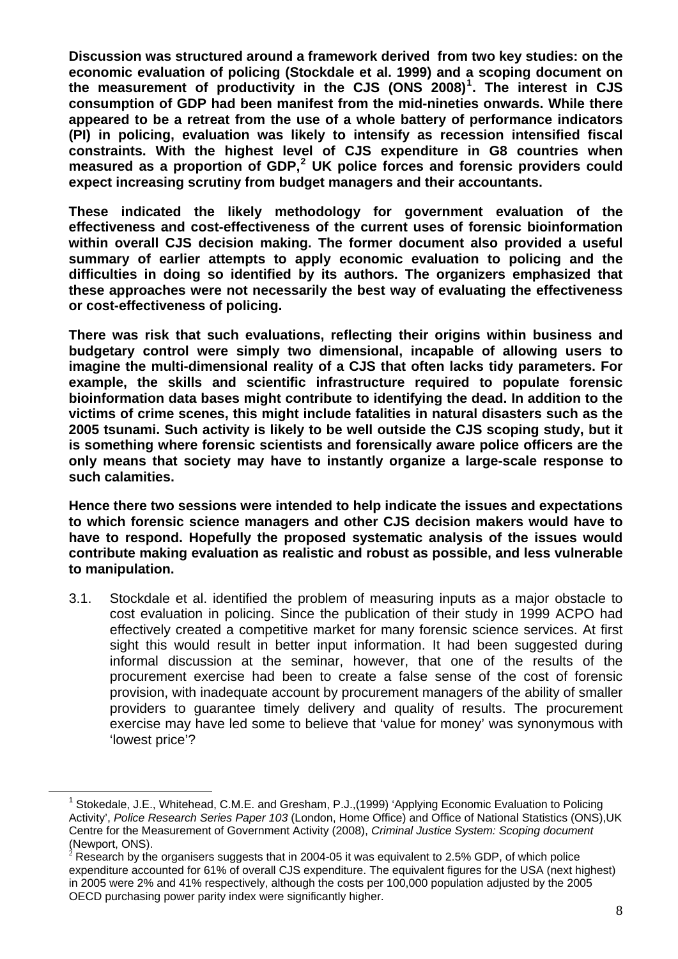**Discussion was structured around a framework derived from two key studies: on the economic evaluation of policing (Stockdale et al. 1999) and a scoping document on the measurement of productivity in the CJS (ONS 2008)[1](#page-7-0) . The interest in CJS consumption of GDP had been manifest from the mid-nineties onwards. While there appeared to be a retreat from the use of a whole battery of performance indicators (PI) in policing, evaluation was likely to intensify as recession intensified fiscal constraints. With the highest level of CJS expenditure in G8 countries when measured as a proportion of GDP,[2](#page-7-1) UK police forces and forensic providers could expect increasing scrutiny from budget managers and their accountants.** 

**These indicated the likely methodology for government evaluation of the effectiveness and cost-effectiveness of the current uses of forensic bioinformation within overall CJS decision making. The former document also provided a useful summary of earlier attempts to apply economic evaluation to policing and the difficulties in doing so identified by its authors. The organizers emphasized that these approaches were not necessarily the best way of evaluating the effectiveness or cost-effectiveness of policing.** 

**There was risk that such evaluations, reflecting their origins within business and budgetary control were simply two dimensional, incapable of allowing users to imagine the multi-dimensional reality of a CJS that often lacks tidy parameters. For example, the skills and scientific infrastructure required to populate forensic bioinformation data bases might contribute to identifying the dead. In addition to the victims of crime scenes, this might include fatalities in natural disasters such as the 2005 tsunami. Such activity is likely to be well outside the CJS scoping study, but it is something where forensic scientists and forensically aware police officers are the only means that society may have to instantly organize a large-scale response to such calamities.** 

**Hence there two sessions were intended to help indicate the issues and expectations to which forensic science managers and other CJS decision makers would have to have to respond. Hopefully the proposed systematic analysis of the issues would contribute making evaluation as realistic and robust as possible, and less vulnerable to manipulation.** 

3.1. Stockdale et al. identified the problem of measuring inputs as a major obstacle to cost evaluation in policing. Since the publication of their study in 1999 ACPO had effectively created a competitive market for many forensic science services. At first sight this would result in better input information. It had been suggested during informal discussion at the seminar, however, that one of the results of the procurement exercise had been to create a false sense of the cost of forensic provision, with inadequate account by procurement managers of the ability of smaller providers to guarantee timely delivery and quality of results. The procurement exercise may have led some to believe that 'value for money' was synonymous with 'lowest price'?

<span id="page-7-0"></span> $\overline{a}$ 

<sup>&</sup>lt;sup>1</sup> Stokedale, J.E., Whitehead, C.M.E. and Gresham, P.J.,(1999) 'Applying Economic Evaluation to Policing Activity', *Police Research Series Paper 103* (London, Home Office) and Office of National Statistics (ONS),UK Centre for the Measurement of Government Activity (2008), *Criminal Justice System: Scoping document* (Newport, ONS).

<span id="page-7-1"></span><sup>2</sup> Research by the organisers suggests that in 2004-05 it was equivalent to 2.5% GDP, of which police expenditure accounted for 61% of overall CJS expenditure. The equivalent figures for the USA (next highest) in 2005 were 2% and 41% respectively, although the costs per 100,000 population adjusted by the 2005 OECD purchasing power parity index were significantly higher.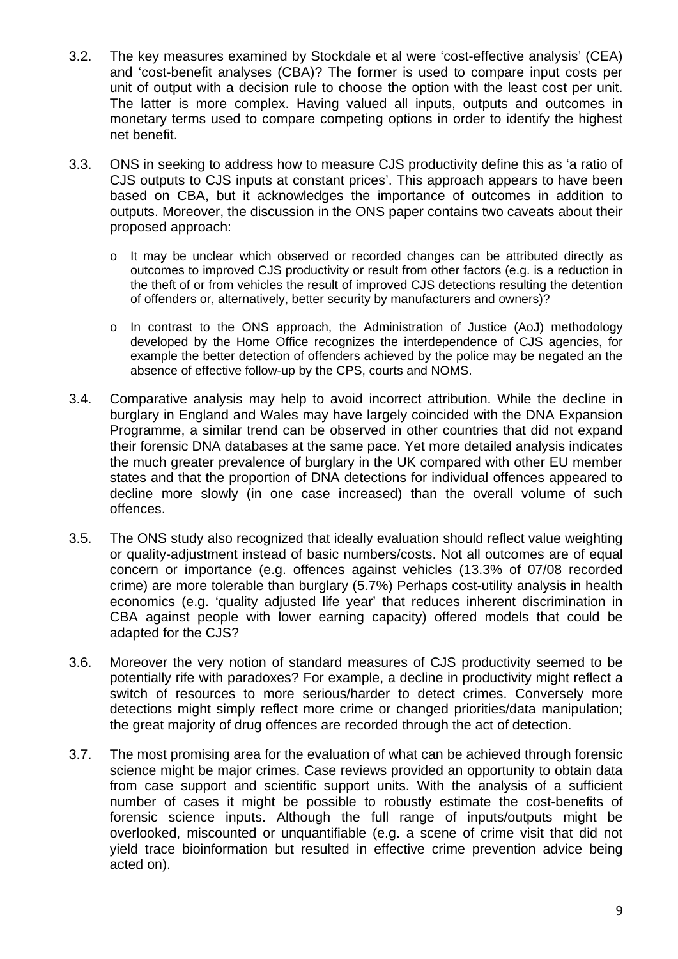- 3.2. The key measures examined by Stockdale et al were 'cost-effective analysis' (CEA) and 'cost-benefit analyses (CBA)? The former is used to compare input costs per unit of output with a decision rule to choose the option with the least cost per unit. The latter is more complex. Having valued all inputs, outputs and outcomes in monetary terms used to compare competing options in order to identify the highest net benefit.
- 3.3. ONS in seeking to address how to measure CJS productivity define this as 'a ratio of CJS outputs to CJS inputs at constant prices'. This approach appears to have been based on CBA, but it acknowledges the importance of outcomes in addition to outputs. Moreover, the discussion in the ONS paper contains two caveats about their proposed approach:
	- o It may be unclear which observed or recorded changes can be attributed directly as outcomes to improved CJS productivity or result from other factors (e.g. is a reduction in the theft of or from vehicles the result of improved CJS detections resulting the detention of offenders or, alternatively, better security by manufacturers and owners)?
	- o In contrast to the ONS approach, the Administration of Justice (AoJ) methodology developed by the Home Office recognizes the interdependence of CJS agencies, for example the better detection of offenders achieved by the police may be negated an the absence of effective follow-up by the CPS, courts and NOMS.
- 3.4. Comparative analysis may help to avoid incorrect attribution. While the decline in burglary in England and Wales may have largely coincided with the DNA Expansion Programme, a similar trend can be observed in other countries that did not expand their forensic DNA databases at the same pace. Yet more detailed analysis indicates the much greater prevalence of burglary in the UK compared with other EU member states and that the proportion of DNA detections for individual offences appeared to decline more slowly (in one case increased) than the overall volume of such offences.
- 3.5. The ONS study also recognized that ideally evaluation should reflect value weighting or quality-adjustment instead of basic numbers/costs. Not all outcomes are of equal concern or importance (e.g. offences against vehicles (13.3% of 07/08 recorded crime) are more tolerable than burglary (5.7%) Perhaps cost-utility analysis in health economics (e.g. 'quality adjusted life year' that reduces inherent discrimination in CBA against people with lower earning capacity) offered models that could be adapted for the CJS?
- 3.6. Moreover the very notion of standard measures of CJS productivity seemed to be potentially rife with paradoxes? For example, a decline in productivity might reflect a switch of resources to more serious/harder to detect crimes. Conversely more detections might simply reflect more crime or changed priorities/data manipulation; the great majority of drug offences are recorded through the act of detection.
- 3.7. The most promising area for the evaluation of what can be achieved through forensic science might be major crimes. Case reviews provided an opportunity to obtain data from case support and scientific support units. With the analysis of a sufficient number of cases it might be possible to robustly estimate the cost-benefits of forensic science inputs. Although the full range of inputs/outputs might be overlooked, miscounted or unquantifiable (e.g. a scene of crime visit that did not yield trace bioinformation but resulted in effective crime prevention advice being acted on).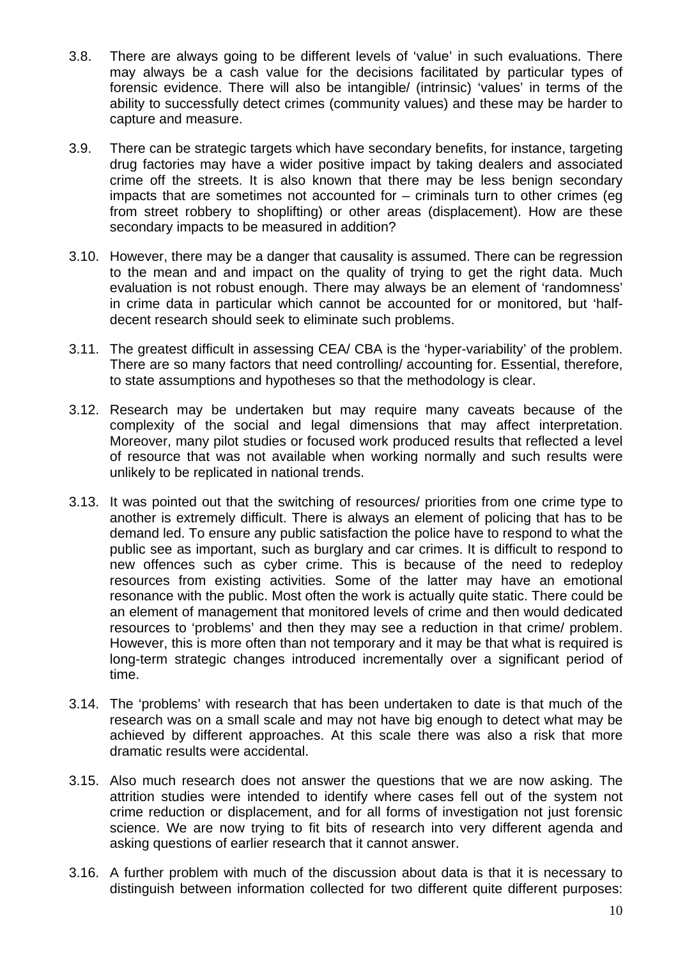- 3.8. There are always going to be different levels of 'value' in such evaluations. There may always be a cash value for the decisions facilitated by particular types of forensic evidence. There will also be intangible/ (intrinsic) 'values' in terms of the ability to successfully detect crimes (community values) and these may be harder to capture and measure.
- 3.9. There can be strategic targets which have secondary benefits, for instance, targeting drug factories may have a wider positive impact by taking dealers and associated crime off the streets. It is also known that there may be less benign secondary impacts that are sometimes not accounted for – criminals turn to other crimes (eg from street robbery to shoplifting) or other areas (displacement). How are these secondary impacts to be measured in addition?
- 3.10. However, there may be a danger that causality is assumed. There can be regression to the mean and and impact on the quality of trying to get the right data. Much evaluation is not robust enough. There may always be an element of 'randomness' in crime data in particular which cannot be accounted for or monitored, but 'halfdecent research should seek to eliminate such problems.
- 3.11. The greatest difficult in assessing CEA/ CBA is the 'hyper-variability' of the problem. There are so many factors that need controlling/ accounting for. Essential, therefore, to state assumptions and hypotheses so that the methodology is clear.
- 3.12. Research may be undertaken but may require many caveats because of the complexity of the social and legal dimensions that may affect interpretation. Moreover, many pilot studies or focused work produced results that reflected a level of resource that was not available when working normally and such results were unlikely to be replicated in national trends.
- 3.13. It was pointed out that the switching of resources/ priorities from one crime type to another is extremely difficult. There is always an element of policing that has to be demand led. To ensure any public satisfaction the police have to respond to what the public see as important, such as burglary and car crimes. It is difficult to respond to new offences such as cyber crime. This is because of the need to redeploy resources from existing activities. Some of the latter may have an emotional resonance with the public. Most often the work is actually quite static. There could be an element of management that monitored levels of crime and then would dedicated resources to 'problems' and then they may see a reduction in that crime/ problem. However, this is more often than not temporary and it may be that what is required is long-term strategic changes introduced incrementally over a significant period of time.
- 3.14. The 'problems' with research that has been undertaken to date is that much of the research was on a small scale and may not have big enough to detect what may be achieved by different approaches. At this scale there was also a risk that more dramatic results were accidental.
- 3.15. Also much research does not answer the questions that we are now asking. The attrition studies were intended to identify where cases fell out of the system not crime reduction or displacement, and for all forms of investigation not just forensic science. We are now trying to fit bits of research into very different agenda and asking questions of earlier research that it cannot answer.
- 3.16. A further problem with much of the discussion about data is that it is necessary to distinguish between information collected for two different quite different purposes: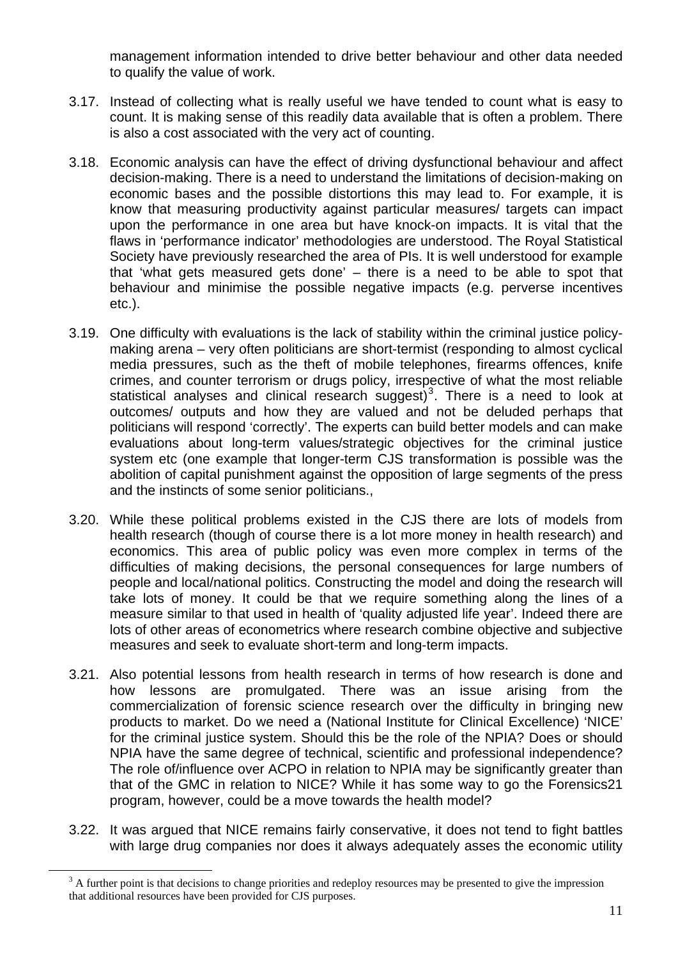management information intended to drive better behaviour and other data needed to qualify the value of work.

- 3.17. Instead of collecting what is really useful we have tended to count what is easy to count. It is making sense of this readily data available that is often a problem. There is also a cost associated with the very act of counting.
- 3.18. Economic analysis can have the effect of driving dysfunctional behaviour and affect decision-making. There is a need to understand the limitations of decision-making on economic bases and the possible distortions this may lead to. For example, it is know that measuring productivity against particular measures/ targets can impact upon the performance in one area but have knock-on impacts. It is vital that the flaws in 'performance indicator' methodologies are understood. The Royal Statistical Society have previously researched the area of PIs. It is well understood for example that 'what gets measured gets done' – there is a need to be able to spot that behaviour and minimise the possible negative impacts (e.g. perverse incentives etc.).
- 3.19. One difficulty with evaluations is the lack of stability within the criminal justice policymaking arena – very often politicians are short-termist (responding to almost cyclical media pressures, such as the theft of mobile telephones, firearms offences, knife crimes, and counter terrorism or drugs policy, irrespective of what the most reliable statistical analyses and clinical research suggest)<sup>[3](#page-10-0)</sup>. There is a need to look at outcomes/ outputs and how they are valued and not be deluded perhaps that politicians will respond 'correctly'. The experts can build better models and can make evaluations about long-term values/strategic objectives for the criminal justice system etc (one example that longer-term CJS transformation is possible was the abolition of capital punishment against the opposition of large segments of the press and the instincts of some senior politicians.,
- 3.20. While these political problems existed in the CJS there are lots of models from health research (though of course there is a lot more money in health research) and economics. This area of public policy was even more complex in terms of the difficulties of making decisions, the personal consequences for large numbers of people and local/national politics. Constructing the model and doing the research will take lots of money. It could be that we require something along the lines of a measure similar to that used in health of 'quality adjusted life year'. Indeed there are lots of other areas of econometrics where research combine objective and subjective measures and seek to evaluate short-term and long-term impacts.
- 3.21. Also potential lessons from health research in terms of how research is done and how lessons are promulgated. There was an issue arising from the commercialization of forensic science research over the difficulty in bringing new products to market. Do we need a (National Institute for Clinical Excellence) 'NICE' for the criminal justice system. Should this be the role of the NPIA? Does or should NPIA have the same degree of technical, scientific and professional independence? The role of/influence over ACPO in relation to NPIA may be significantly greater than that of the GMC in relation to NICE? While it has some way to go the Forensics21 program, however, could be a move towards the health model?
- 3.22. It was argued that NICE remains fairly conservative, it does not tend to fight battles with large drug companies nor does it always adequately asses the economic utility

<span id="page-10-0"></span> $\overline{a}$ 

 $3$  A further point is that decisions to change priorities and redeploy resources may be presented to give the impression that additional resources have been provided for CJS purposes.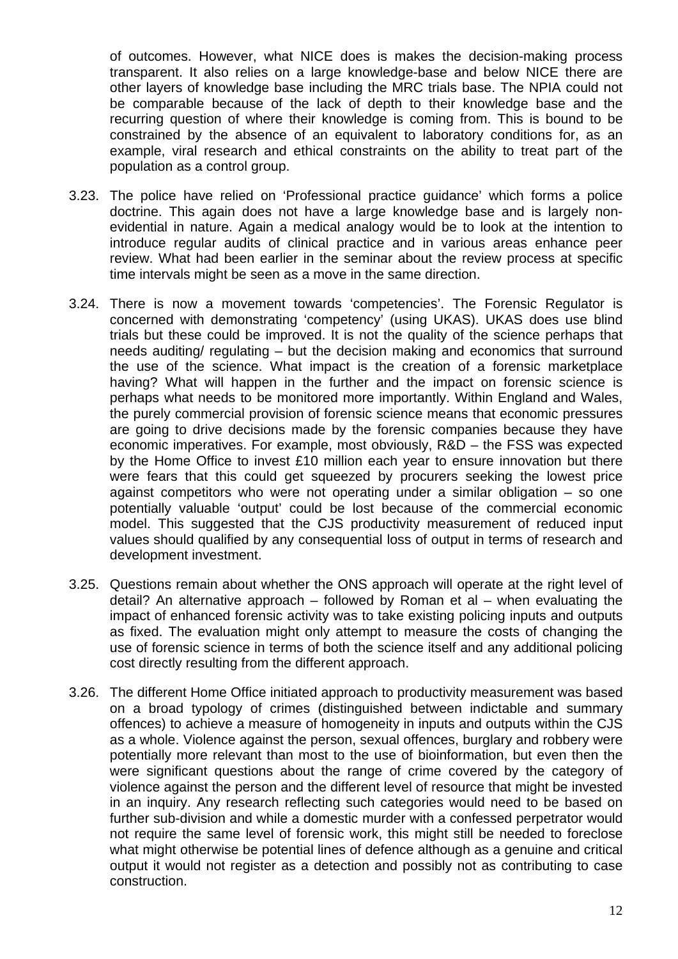of outcomes. However, what NICE does is makes the decision-making process transparent. It also relies on a large knowledge-base and below NICE there are other layers of knowledge base including the MRC trials base. The NPIA could not be comparable because of the lack of depth to their knowledge base and the recurring question of where their knowledge is coming from. This is bound to be constrained by the absence of an equivalent to laboratory conditions for, as an example, viral research and ethical constraints on the ability to treat part of the population as a control group.

- 3.23. The police have relied on 'Professional practice guidance' which forms a police doctrine. This again does not have a large knowledge base and is largely nonevidential in nature. Again a medical analogy would be to look at the intention to introduce regular audits of clinical practice and in various areas enhance peer review. What had been earlier in the seminar about the review process at specific time intervals might be seen as a move in the same direction.
- 3.24. There is now a movement towards 'competencies'. The Forensic Regulator is concerned with demonstrating 'competency' (using UKAS). UKAS does use blind trials but these could be improved. It is not the quality of the science perhaps that needs auditing/ regulating – but the decision making and economics that surround the use of the science. What impact is the creation of a forensic marketplace having? What will happen in the further and the impact on forensic science is perhaps what needs to be monitored more importantly. Within England and Wales, the purely commercial provision of forensic science means that economic pressures are going to drive decisions made by the forensic companies because they have economic imperatives. For example, most obviously, R&D – the FSS was expected by the Home Office to invest £10 million each year to ensure innovation but there were fears that this could get squeezed by procurers seeking the lowest price against competitors who were not operating under a similar obligation – so one potentially valuable 'output' could be lost because of the commercial economic model. This suggested that the CJS productivity measurement of reduced input values should qualified by any consequential loss of output in terms of research and development investment.
- 3.25. Questions remain about whether the ONS approach will operate at the right level of detail? An alternative approach – followed by Roman et al – when evaluating the impact of enhanced forensic activity was to take existing policing inputs and outputs as fixed. The evaluation might only attempt to measure the costs of changing the use of forensic science in terms of both the science itself and any additional policing cost directly resulting from the different approach.
- 3.26. The different Home Office initiated approach to productivity measurement was based on a broad typology of crimes (distinguished between indictable and summary offences) to achieve a measure of homogeneity in inputs and outputs within the CJS as a whole. Violence against the person, sexual offences, burglary and robbery were potentially more relevant than most to the use of bioinformation, but even then the were significant questions about the range of crime covered by the category of violence against the person and the different level of resource that might be invested in an inquiry. Any research reflecting such categories would need to be based on further sub-division and while a domestic murder with a confessed perpetrator would not require the same level of forensic work, this might still be needed to foreclose what might otherwise be potential lines of defence although as a genuine and critical output it would not register as a detection and possibly not as contributing to case construction.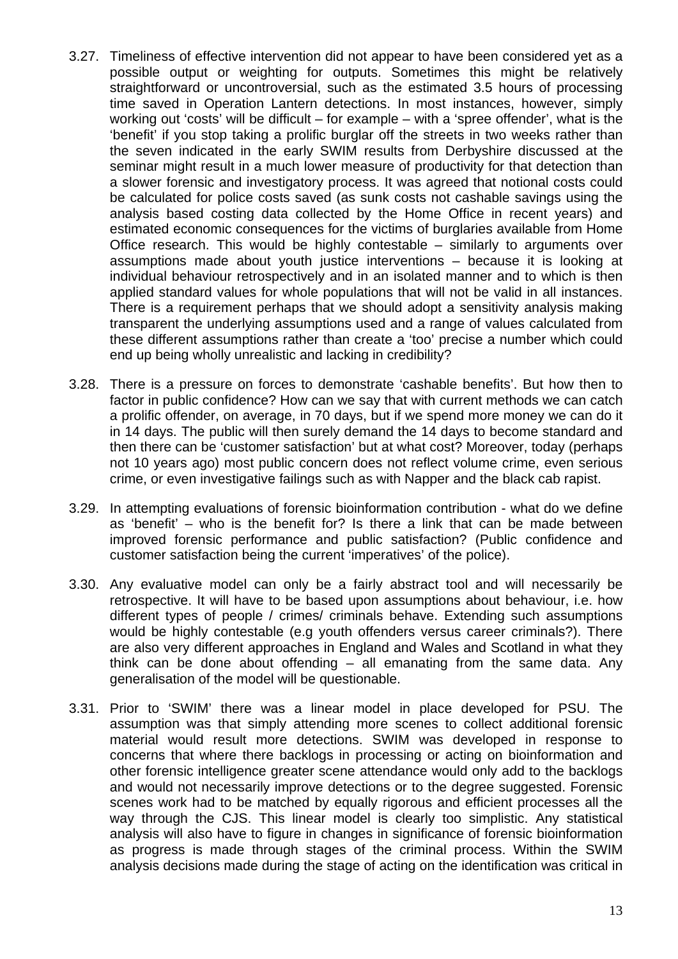- 3.27. Timeliness of effective intervention did not appear to have been considered yet as a possible output or weighting for outputs. Sometimes this might be relatively straightforward or uncontroversial, such as the estimated 3.5 hours of processing time saved in Operation Lantern detections. In most instances, however, simply working out 'costs' will be difficult – for example – with a 'spree offender', what is the 'benefit' if you stop taking a prolific burglar off the streets in two weeks rather than the seven indicated in the early SWIM results from Derbyshire discussed at the seminar might result in a much lower measure of productivity for that detection than a slower forensic and investigatory process. It was agreed that notional costs could be calculated for police costs saved (as sunk costs not cashable savings using the analysis based costing data collected by the Home Office in recent years) and estimated economic consequences for the victims of burglaries available from Home Office research. This would be highly contestable – similarly to arguments over assumptions made about youth justice interventions – because it is looking at individual behaviour retrospectively and in an isolated manner and to which is then applied standard values for whole populations that will not be valid in all instances. There is a requirement perhaps that we should adopt a sensitivity analysis making transparent the underlying assumptions used and a range of values calculated from these different assumptions rather than create a 'too' precise a number which could end up being wholly unrealistic and lacking in credibility?
- 3.28. There is a pressure on forces to demonstrate 'cashable benefits'. But how then to factor in public confidence? How can we say that with current methods we can catch a prolific offender, on average, in 70 days, but if we spend more money we can do it in 14 days. The public will then surely demand the 14 days to become standard and then there can be 'customer satisfaction' but at what cost? Moreover, today (perhaps not 10 years ago) most public concern does not reflect volume crime, even serious crime, or even investigative failings such as with Napper and the black cab rapist.
- 3.29. In attempting evaluations of forensic bioinformation contribution what do we define as 'benefit' – who is the benefit for? Is there a link that can be made between improved forensic performance and public satisfaction? (Public confidence and customer satisfaction being the current 'imperatives' of the police).
- 3.30. Any evaluative model can only be a fairly abstract tool and will necessarily be retrospective. It will have to be based upon assumptions about behaviour, i.e. how different types of people / crimes/ criminals behave. Extending such assumptions would be highly contestable (e.g youth offenders versus career criminals?). There are also very different approaches in England and Wales and Scotland in what they think can be done about offending – all emanating from the same data. Any generalisation of the model will be questionable.
- 3.31. Prior to 'SWIM' there was a linear model in place developed for PSU. The assumption was that simply attending more scenes to collect additional forensic material would result more detections. SWIM was developed in response to concerns that where there backlogs in processing or acting on bioinformation and other forensic intelligence greater scene attendance would only add to the backlogs and would not necessarily improve detections or to the degree suggested. Forensic scenes work had to be matched by equally rigorous and efficient processes all the way through the CJS. This linear model is clearly too simplistic. Any statistical analysis will also have to figure in changes in significance of forensic bioinformation as progress is made through stages of the criminal process. Within the SWIM analysis decisions made during the stage of acting on the identification was critical in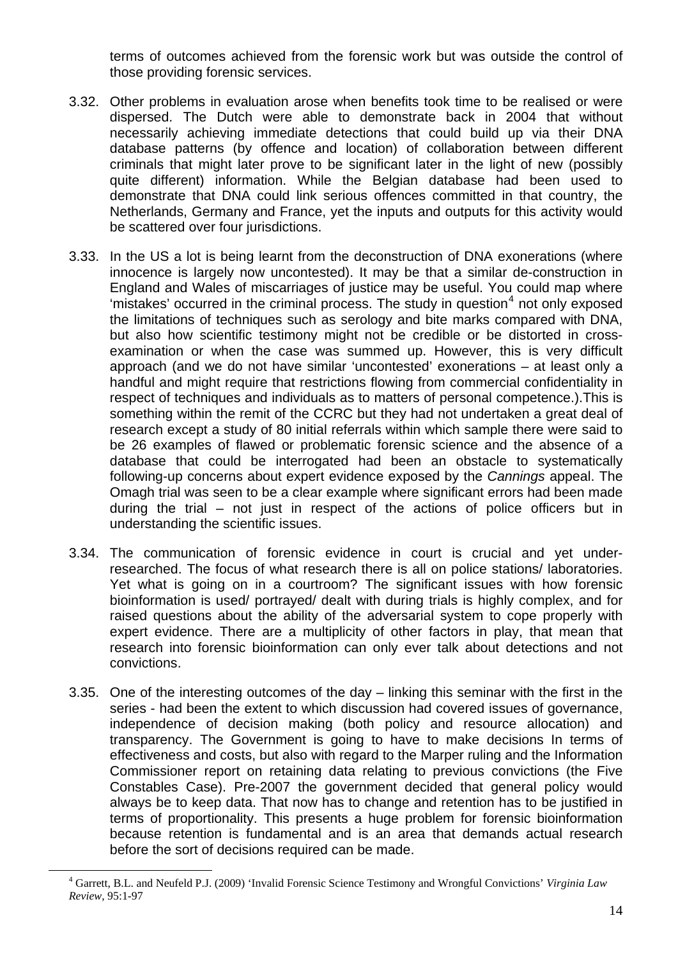terms of outcomes achieved from the forensic work but was outside the control of those providing forensic services.

- 3.32. Other problems in evaluation arose when benefits took time to be realised or were dispersed. The Dutch were able to demonstrate back in 2004 that without necessarily achieving immediate detections that could build up via their DNA database patterns (by offence and location) of collaboration between different criminals that might later prove to be significant later in the light of new (possibly quite different) information. While the Belgian database had been used to demonstrate that DNA could link serious offences committed in that country, the Netherlands, Germany and France, yet the inputs and outputs for this activity would be scattered over four jurisdictions.
- 3.33. In the US a lot is being learnt from the deconstruction of DNA exonerations (where innocence is largely now uncontested). It may be that a similar de-construction in England and Wales of miscarriages of justice may be useful. You could map where 'mistakes' occurred in the criminal process. The study in question $4$  not only exposed the limitations of techniques such as serology and bite marks compared with DNA, but also how scientific testimony might not be credible or be distorted in crossexamination or when the case was summed up. However, this is very difficult approach (and we do not have similar 'uncontested' exonerations – at least only a handful and might require that restrictions flowing from commercial confidentiality in respect of techniques and individuals as to matters of personal competence.).This is something within the remit of the CCRC but they had not undertaken a great deal of research except a study of 80 initial referrals within which sample there were said to be 26 examples of flawed or problematic forensic science and the absence of a database that could be interrogated had been an obstacle to systematically following-up concerns about expert evidence exposed by the *Cannings* appeal. The Omagh trial was seen to be a clear example where significant errors had been made during the trial – not just in respect of the actions of police officers but in understanding the scientific issues.
- 3.34. The communication of forensic evidence in court is crucial and yet underresearched. The focus of what research there is all on police stations/ laboratories. Yet what is going on in a courtroom? The significant issues with how forensic bioinformation is used/ portrayed/ dealt with during trials is highly complex, and for raised questions about the ability of the adversarial system to cope properly with expert evidence. There are a multiplicity of other factors in play, that mean that research into forensic bioinformation can only ever talk about detections and not convictions.
- 3.35. One of the interesting outcomes of the day linking this seminar with the first in the series - had been the extent to which discussion had covered issues of governance, independence of decision making (both policy and resource allocation) and transparency. The Government is going to have to make decisions In terms of effectiveness and costs, but also with regard to the Marper ruling and the Information Commissioner report on retaining data relating to previous convictions (the Five Constables Case). Pre-2007 the government decided that general policy would always be to keep data. That now has to change and retention has to be justified in terms of proportionality. This presents a huge problem for forensic bioinformation because retention is fundamental and is an area that demands actual research before the sort of decisions required can be made.

<span id="page-13-0"></span> $\overline{a}$ 

<sup>4</sup> Garrett, B.L. and Neufeld P.J. (2009) 'Invalid Forensic Science Testimony and Wrongful Convictions' *Virginia Law Review*, 95:1-97